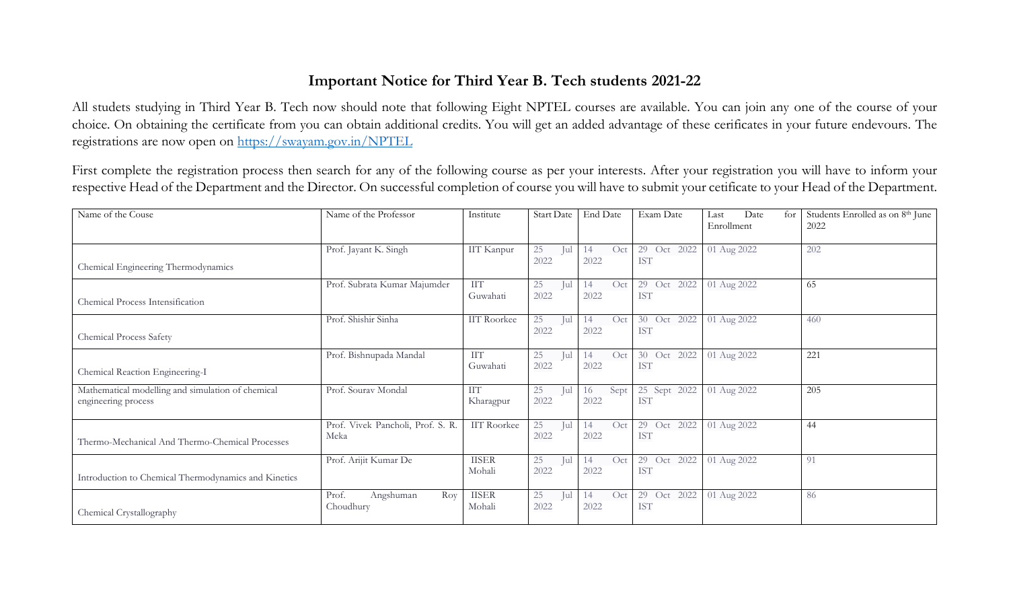## **Important Notice for Third Year B. Tech students 2021-22**

All studets studying in Third Year B. Tech now should note that following Eight NPTEL courses are available. You can join any one of the course of your choice. On obtaining the certificate from you can obtain additional credits. You will get an added advantage of these cerificates in your future endevours. The registrations are now open on<https://swayam.gov.in/NPTEL>

First complete the registration process then search for any of the following course as per your interests. After your registration you will have to inform your respective Head of the Department and the Director. On successful completion of course you will have to submit your cetificate to your Head of the Department.

| Name of the Couse                                                        | Name of the Professor                     | Institute               | Start Date        | End Date           | Exam Date                    | Date<br>for<br>Last<br>Enrollment | Students Enrolled as on 8 <sup>th</sup> June<br>2022 |
|--------------------------------------------------------------------------|-------------------------------------------|-------------------------|-------------------|--------------------|------------------------------|-----------------------------------|------------------------------------------------------|
| Chemical Engineering Thermodynamics                                      | Prof. Jayant K. Singh                     | IIT Kanpur              | 25<br>Jul<br>2022 | Oct<br>14<br>2022  | 29 Oct<br>2022<br><b>IST</b> | 01 Aug 2022                       | 202                                                  |
| Chemical Process Intensification                                         | Prof. Subrata Kumar Majumder              | <b>IIT</b><br>Guwahati  | 25<br>Jul<br>2022 | Oct<br>14<br>2022  | 29 Oct 2022<br><b>IST</b>    | 01 Aug 2022                       | 65                                                   |
| Chemical Process Safety                                                  | Prof. Shishir Sinha                       | <b>IIT Roorkee</b>      | 25<br>Jul<br>2022 | Oct<br>14<br>2022  | 30 Oct<br>2022<br><b>IST</b> | 01 Aug 2022                       | 460                                                  |
| Chemical Reaction Engineering-I                                          | Prof. Bishnupada Mandal                   | <b>IIT</b><br>Guwahati  | 25<br>Jul<br>2022 | Oct<br>14<br>2022  | 30 Oct<br>2022<br><b>IST</b> | 01 Aug 2022                       | 221                                                  |
| Mathematical modelling and simulation of chemical<br>engineering process | Prof. Sourav Mondal                       | <b>IIT</b><br>Kharagpur | 25<br>Jul<br>2022 | Sept<br>16<br>2022 | 25 Sept 2022<br><b>IST</b>   | 01 Aug 2022                       | 205                                                  |
| Thermo-Mechanical And Thermo-Chemical Processes                          | Prof. Vivek Pancholi, Prof. S. R.<br>Meka | <b>IIT Roorkee</b>      | 25<br>Jul<br>2022 | Oct<br>14<br>2022  | 29 Oct<br>2022<br><b>IST</b> | 01 Aug 2022                       | 44                                                   |
| Introduction to Chemical Thermodynamics and Kinetics                     | Prof. Arijit Kumar De                     | <b>IISER</b><br>Mohali  | 25<br>Jul<br>2022 | Oct<br>14<br>2022  | 29 Oct<br>2022<br><b>IST</b> | 01 Aug 2022                       | 91                                                   |
| Chemical Crystallography                                                 | Prof.<br>Angshuman<br>Roy<br>Choudhury    | <b>IISER</b><br>Mohali  | 25<br>Jul<br>2022 | Oct<br>14<br>2022  | 29 Oct<br>2022<br><b>IST</b> | 01 Aug 2022                       | 86                                                   |